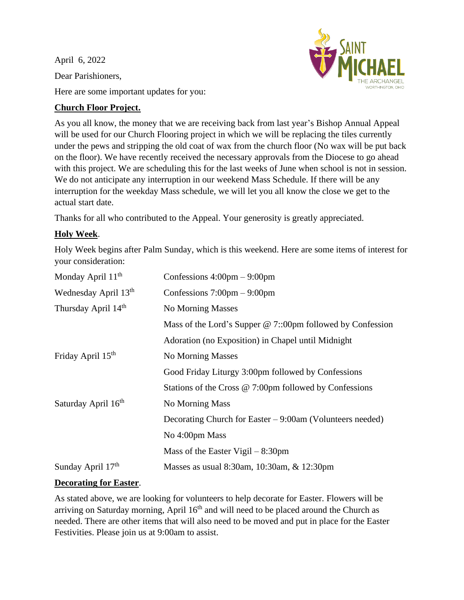April 6, 2022 Dear Parishioners,



Here are some important updates for you:

## **Church Floor Project.**

As you all know, the money that we are receiving back from last year's Bishop Annual Appeal will be used for our Church Flooring project in which we will be replacing the tiles currently under the pews and stripping the old coat of wax from the church floor (No wax will be put back on the floor). We have recently received the necessary approvals from the Diocese to go ahead with this project. We are scheduling this for the last weeks of June when school is not in session. We do not anticipate any interruption in our weekend Mass Schedule. If there will be any interruption for the weekday Mass schedule, we will let you all know the close we get to the actual start date.

Thanks for all who contributed to the Appeal. Your generosity is greatly appreciated.

# **Holy Week**.

Holy Week begins after Palm Sunday, which is this weekend. Here are some items of interest for your consideration:

| Confessions $4:00 \text{pm} - 9:00 \text{pm}$                    |
|------------------------------------------------------------------|
| Confessions $7:00 \text{pm} - 9:00 \text{pm}$                    |
| No Morning Masses                                                |
| Mass of the Lord's Supper @ 7::00pm followed by Confession       |
| Adoration (no Exposition) in Chapel until Midnight               |
| No Morning Masses                                                |
| Good Friday Liturgy 3:00pm followed by Confessions               |
| Stations of the Cross $@ 7:00 \text{pm}$ followed by Confessions |
| No Morning Mass                                                  |
| Decorating Church for Easter $-9:00$ am (Volunteers needed)      |
| No 4:00pm Mass                                                   |
| Mass of the Easter Vigil $-8:30 \text{pm}$                       |
| Masses as usual 8:30am, 10:30am, & 12:30pm                       |
|                                                                  |

### **Decorating for Easter**.

As stated above, we are looking for volunteers to help decorate for Easter. Flowers will be arriving on Saturday morning, April  $16<sup>th</sup>$  and will need to be placed around the Church as needed. There are other items that will also need to be moved and put in place for the Easter Festivities. Please join us at 9:00am to assist.